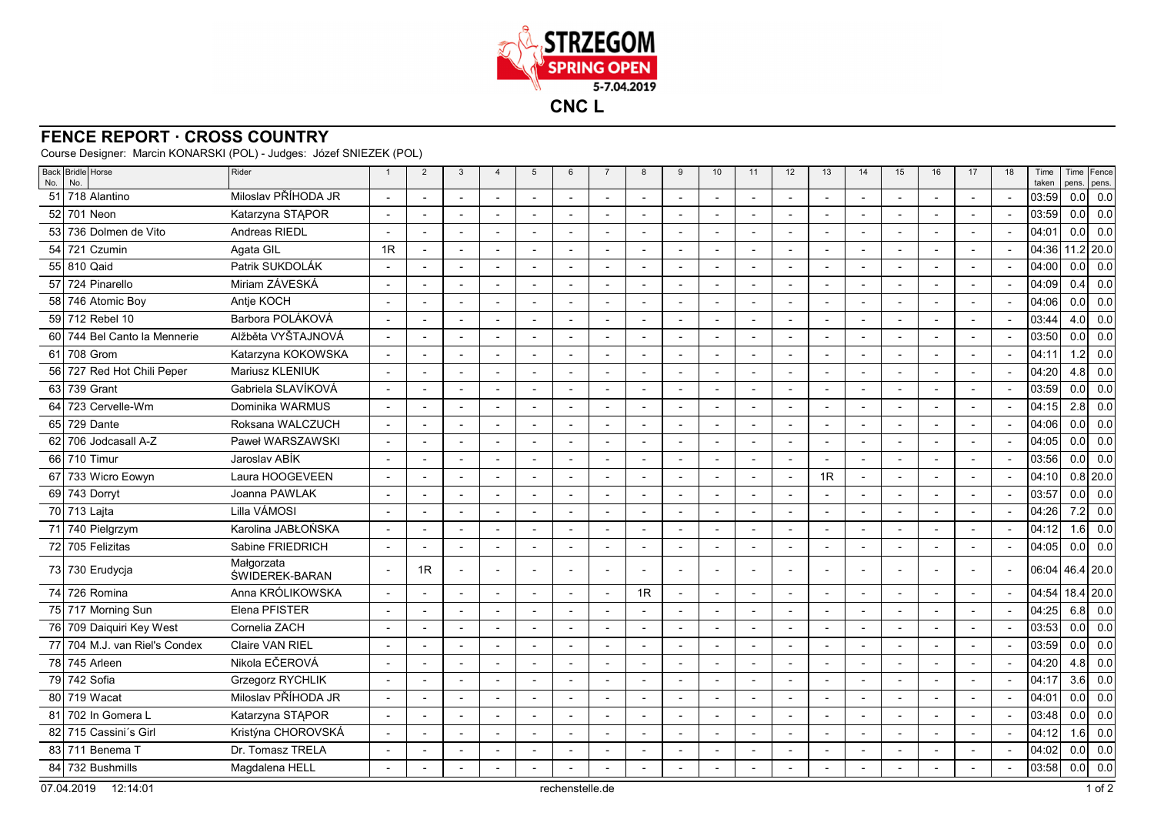

## **FENCE REPORT · CROSS COUNTRY**

Course Designer: Marcin KONARSKI (POL) - Judges: Józef SNIEZEK (POL)

| Back Bridle Horse<br>No.<br>No.  | Rider                        | $\mathbf{1}$             | $\overline{2}$           | $\mathbf{3}$             | $\overline{4}$ | 5                        | 6                        | $\overline{7}$ | 8                        | 9                        | 10                       | 11                       | 12                       | 13                       | 14                       | 15             | 16                       | 17                       | 18                       | Time<br>taken | pens. pens.      | Time Fence   |
|----------------------------------|------------------------------|--------------------------|--------------------------|--------------------------|----------------|--------------------------|--------------------------|----------------|--------------------------|--------------------------|--------------------------|--------------------------|--------------------------|--------------------------|--------------------------|----------------|--------------------------|--------------------------|--------------------------|---------------|------------------|--------------|
| 51<br>718 Alantino               | Miloslav PŘÍHODA JR          | $\overline{\phantom{a}}$ |                          | $\overline{\phantom{a}}$ | $\overline{a}$ |                          | $\blacksquare$           |                | $\overline{\phantom{a}}$ | $\overline{a}$           | $\sim$                   |                          | $\overline{a}$           | $\overline{\phantom{a}}$ | $\overline{\phantom{a}}$ |                | $\overline{a}$           | $\sim$                   | $\overline{\phantom{a}}$ | 03:59         | 0.0              | 0.0          |
| 52 701 Neon                      | Katarzyna STAPOR             | $\overline{\phantom{a}}$ |                          |                          |                |                          |                          |                | $\blacksquare$           |                          | $\blacksquare$           |                          |                          |                          | $\overline{\phantom{a}}$ |                |                          |                          |                          | 03:59         | 0.0              | 0.0          |
| 736 Dolmen de Vito<br>53         | Andreas RIEDL                |                          |                          |                          |                |                          |                          |                | $\blacksquare$           |                          | $\blacksquare$           |                          |                          |                          |                          |                |                          |                          |                          | 04:01         | 0.0              | 0.0          |
| 54<br>721 Czumin                 | Agata GIL                    | 1R                       | $\blacksquare$           | $\overline{\phantom{a}}$ |                | $\overline{\phantom{a}}$ |                          |                | $\blacksquare$           |                          | $\blacksquare$           |                          |                          |                          | $\overline{a}$           |                | $\blacksquare$           |                          |                          | 04:36         |                  | 11.2 20.0    |
| 55 810 Qaid                      | Patrik SUKDOLÁK              | $\overline{\phantom{a}}$ | $\overline{a}$           | $\overline{a}$           | $\overline{a}$ |                          |                          |                | $\blacksquare$           | $\overline{a}$           | $\blacksquare$           | $\overline{\phantom{a}}$ | $\overline{a}$           | $\overline{a}$           | $\overline{a}$           |                | $\overline{\phantom{a}}$ |                          |                          | 04:00         | 0.0              | 0.0          |
| 57<br>724 Pinarello              | Miriam ZÁVESKÁ               | $\sim$                   |                          |                          |                |                          |                          |                | $\overline{a}$           |                          | $\overline{a}$           |                          |                          |                          | $\overline{a}$           | $\overline{a}$ | $\overline{a}$           |                          |                          | 04:09         | 0.4              | 0.0          |
| 58 746 Atomic Boy                | Antje KOCH                   | $\sim$                   | $\blacksquare$           | $\overline{\phantom{a}}$ |                | $\overline{a}$           |                          |                | $\blacksquare$           |                          | $\blacksquare$           |                          | $\overline{\phantom{a}}$ |                          | $\overline{\phantom{a}}$ |                | $\overline{\phantom{a}}$ |                          |                          | 04:06         | 0.0              | 0.0          |
| 59 712 Rebel 10                  | Barbora POLÁKOVÁ             | $\sim$                   | $\overline{\phantom{a}}$ | $\overline{\phantom{a}}$ |                | $\overline{\phantom{a}}$ | $\overline{\phantom{a}}$ |                | $\overline{\phantom{a}}$ | $\blacksquare$           | $\overline{\phantom{a}}$ | $\overline{\phantom{a}}$ | $\sim$                   | $\overline{a}$           | $\overline{\phantom{a}}$ | $\blacksquare$ | $\sim$                   | $\sim$                   | $\overline{\phantom{a}}$ | 03:44         | 4.0              | 0.0          |
| 60 744 Bel Canto la Mennerie     | Alžběta VYŠTAJNOVÁ           | $\overline{a}$           | $\overline{a}$           | $\overline{a}$           |                |                          |                          |                | $\overline{a}$           |                          | $\sim$                   |                          |                          | $\overline{a}$           | $\overline{\phantom{a}}$ |                | $\overline{a}$           |                          | $\overline{\phantom{a}}$ | 03:50         | 0.0              | 0.0          |
| 708 Grom<br>61                   | Katarzyna KOKOWSKA           | $\overline{a}$           | $\overline{\phantom{a}}$ | $\overline{a}$           |                |                          |                          |                | $\overline{a}$           |                          | $\sim$                   |                          |                          |                          | $\sim$                   |                | $\overline{\phantom{a}}$ | $\sim$                   |                          | 04:11         | 1.2              | 0.0          |
| 727 Red Hot Chili Peper<br>56    | Mariusz KLENIUK              | $\sim$                   |                          |                          |                |                          |                          |                |                          |                          | $\overline{\phantom{a}}$ |                          |                          |                          |                          |                |                          |                          |                          | 04:20         | 4.8              | 0.0          |
| 63 739 Grant                     | Gabriela SLAVÍKOVÁ           | $\blacksquare$           |                          |                          |                | $\overline{\phantom{a}}$ |                          |                | $\sim$                   |                          | $\blacksquare$           |                          |                          |                          | $\overline{\phantom{a}}$ |                | $\overline{\phantom{a}}$ |                          |                          | 03:59         | 0.0              | 0.0          |
| 723 Cervelle-Wm<br>64            | Dominika WARMUS              | $\overline{\phantom{a}}$ |                          |                          |                | $\blacksquare$           |                          |                | $\blacksquare$           |                          | $\blacksquare$           |                          |                          |                          |                          |                | $\overline{\phantom{a}}$ |                          |                          | 04:15         | 2.8              | 0.0          |
| 65 729 Dante                     | Roksana WALCZUCH             | $\overline{a}$           |                          |                          |                |                          |                          |                | $\blacksquare$           |                          | $\overline{\phantom{a}}$ |                          |                          |                          |                          |                |                          |                          |                          | 04:06         | 0.0              | 0.0          |
| 62 706 Jodcasall A-Z             | Paweł WARSZAWSKI             | $\overline{a}$           |                          |                          |                |                          |                          |                | $\overline{a}$           |                          |                          |                          | $\overline{a}$           |                          |                          | $\overline{a}$ |                          |                          |                          | 04:05         | 0.0              | 0.0          |
| 66 710 Timur                     | Jaroslav ABÍK                | $\sim$                   |                          | $\overline{\phantom{a}}$ | $\blacksquare$ | $\blacksquare$           | $\overline{\phantom{a}}$ |                | $\overline{\phantom{a}}$ |                          | $\overline{\phantom{a}}$ |                          | $\sim$                   |                          | $\overline{\phantom{a}}$ | $\blacksquare$ | $\overline{\phantom{a}}$ | $\overline{\phantom{a}}$ | $\overline{\phantom{a}}$ | 03:56         | 0.0              | 0.0          |
| 733 Wicro Eowyn<br>67            | Laura HOOGEVEEN              | $\overline{\phantom{a}}$ |                          | $\overline{\phantom{a}}$ | $\blacksquare$ | $\blacksquare$           | $\overline{\phantom{a}}$ |                | $\overline{\phantom{a}}$ |                          | $\blacksquare$           |                          | $\sim$                   | 1R                       | $\overline{\phantom{a}}$ | $\blacksquare$ | $\blacksquare$           | $\overline{\phantom{a}}$ | $\overline{\phantom{a}}$ | 04:10         |                  | $0.8$   20.0 |
| 69 743 Dorryt                    | Joanna PAWLAK                | $\overline{a}$           |                          | $\overline{\phantom{a}}$ |                |                          |                          |                | $\overline{a}$           |                          | $\overline{a}$           |                          | $\sim$                   |                          |                          |                |                          |                          |                          | 03:57         | 0.0              | 0.0          |
| 70 713 Lajta                     | Lilla VÁMOSI                 | $\overline{\phantom{a}}$ |                          | $\overline{\phantom{a}}$ |                |                          |                          |                | $\blacksquare$           |                          | $\overline{a}$           |                          | $\overline{a}$           |                          |                          |                |                          |                          |                          | 04:26         | 7.2              | 0.0          |
| 740 Pielgrzym<br>71              | Karolina JABŁOŃSKA           | $\overline{\phantom{a}}$ |                          | ÷,                       |                |                          |                          |                | $\blacksquare$           |                          | $\overline{a}$           |                          |                          |                          |                          | $\overline{a}$ | $\overline{\phantom{a}}$ |                          |                          | 04:12         | 1.6              | 0.0          |
| 72 705 Felizitas                 | Sabine FRIEDRICH             | $\overline{\phantom{a}}$ |                          |                          |                | $\overline{\phantom{a}}$ |                          |                | $\blacksquare$           |                          | $\blacksquare$           |                          |                          |                          |                          |                | $\overline{\phantom{a}}$ |                          |                          | 04:05         | 0.0 <sub>l</sub> | 0.0          |
| 73 730 Erudycja                  | Małgorzata<br>ŚWIDEREK-BARAN |                          | 1R                       |                          |                |                          |                          |                |                          |                          |                          |                          |                          |                          |                          |                |                          |                          |                          | 06:04         | 46.4 20.0        |              |
| 74 726 Romina                    | Anna KRÓLIKOWSKA             |                          |                          |                          |                |                          |                          |                | 1R                       |                          | $\blacksquare$           |                          |                          |                          |                          |                |                          |                          |                          | 04:54         |                  | 18.4 20.0    |
| 75 717 Morning Sun               | Elena PFISTER                |                          |                          |                          |                |                          |                          |                | $\blacksquare$           |                          | $\blacksquare$           |                          |                          |                          |                          |                |                          |                          |                          | 04:25         | 6.8              | 0.0          |
| 76 709 Daiquiri Key West         | Cornelia ZACH                | $\overline{\phantom{a}}$ |                          |                          |                |                          |                          |                | $\blacksquare$           |                          | $\blacksquare$           |                          | $\overline{\phantom{a}}$ |                          |                          | $\overline{a}$ | $\overline{\phantom{a}}$ |                          |                          | 03:53         | 0.0              | 0.0          |
| 704 M.J. van Riel's Condex<br>77 | <b>Claire VAN RIEL</b>       | $\overline{\phantom{a}}$ |                          |                          |                |                          |                          |                | $\overline{\phantom{a}}$ |                          | $\blacksquare$           |                          |                          |                          |                          |                | $\overline{a}$           |                          |                          | 03:59         | 0.0              | 0.0          |
| 78 745 Arleen                    | Nikola EČEROVÁ               | $\sim$                   |                          |                          |                | $\overline{a}$           |                          |                | $\overline{a}$           | $\overline{a}$           | $\overline{a}$           |                          | $\overline{a}$           | $\overline{a}$           |                          |                | $\overline{a}$           |                          |                          | 04:20         | 4.8              | 0.0          |
| 79 742 Sofia                     | <b>Grzegorz RYCHLIK</b>      | $\overline{a}$           |                          |                          |                |                          |                          |                | $\blacksquare$           |                          | $\blacksquare$           |                          |                          |                          |                          |                |                          |                          |                          | 04:17         | 3.6              | 0.0          |
| 80 719 Wacat                     | Miloslav PŘÍHODA JR          | $\sim$                   | $\overline{\phantom{a}}$ | $\overline{a}$           | $\overline{a}$ | $\sim$                   |                          |                | $\sim$                   | $\overline{a}$           | $\overline{a}$           | $\overline{a}$           | $\sim$                   | $\overline{a}$           | $\overline{\phantom{a}}$ | $\overline{a}$ | $\overline{\phantom{a}}$ |                          | $\overline{\phantom{a}}$ | 04:01         | 0.0              | 0.0          |
| l 702 In Gomera L<br>81          | Katarzyna STĄPOR             | $\mathbf{r}$             | $\overline{\phantom{a}}$ | $\overline{\phantom{a}}$ |                | $\blacksquare$           | $\overline{\phantom{a}}$ |                | $\overline{\phantom{a}}$ | $\overline{\phantom{a}}$ | $\overline{\phantom{a}}$ |                          | $\sim$                   | $\overline{a}$           | $\overline{\phantom{a}}$ | $\blacksquare$ | $\overline{\phantom{a}}$ | $\overline{\phantom{a}}$ | $\overline{\phantom{a}}$ | 03:48         | 0.0              | 0.0          |
| 82 715 Cassini's Girl            | Kristýna CHOROVSKÁ           | $\overline{\phantom{a}}$ | $\overline{a}$           | $\overline{a}$           |                | $\overline{a}$           | $\overline{a}$           |                | $\overline{\phantom{a}}$ | $\overline{a}$           | $\sim$                   |                          | $\overline{a}$           | $\overline{a}$           | $\overline{\phantom{a}}$ |                | $\overline{a}$           | $\sim$                   |                          | 04:12         | 1.6              | 0.0          |
| 83 711 Benema T                  | Dr. Tomasz TRELA             |                          |                          |                          |                |                          |                          |                | $\blacksquare$           |                          | $\overline{a}$           |                          |                          |                          | $\overline{\phantom{a}}$ |                |                          |                          |                          | 04:02         | 0.0              | 0.0          |
| 84 732 Bushmills                 | Magdalena HELL               |                          |                          |                          |                |                          |                          |                |                          |                          |                          |                          |                          |                          |                          |                |                          |                          |                          | 03:58         | 0.0              | 0.0          |